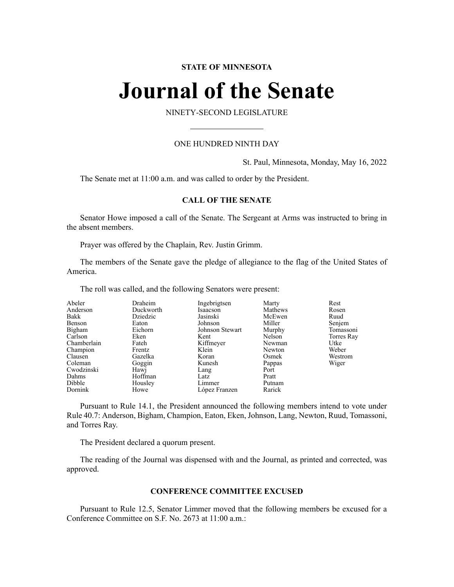# **STATE OF MINNESOTA**

# **Journal of the Senate**

NINETY-SECOND LEGISLATURE

## ONE HUNDRED NINTH DAY

St. Paul, Minnesota, Monday, May 16, 2022

The Senate met at 11:00 a.m. and was called to order by the President.

# **CALL OF THE SENATE**

Senator Howe imposed a call of the Senate. The Sergeant at Arms was instructed to bring in the absent members.

Prayer was offered by the Chaplain, Rev. Justin Grimm.

The members of the Senate gave the pledge of allegiance to the flag of the United States of America.

The roll was called, and the following Senators were present:

| Abeler      | Draheim   | Ingebrigtsen    | Marty   | Rest       |
|-------------|-----------|-----------------|---------|------------|
| Anderson    | Duckworth | Isaacson        | Mathews | Rosen      |
| Bakk        | Dziedzic  | Jasinski        | McEwen  | Ruud       |
| Benson      | Eaton     | Johnson         | Miller  | Senjem     |
| Bigham      | Eichorn   | Johnson Stewart | Murphy  | Tomassoni  |
| Carlson     | Eken      | Kent            | Nelson  | Torres Ray |
| Chamberlain | Fateh     | Kiffmeyer       | Newman  | Utke       |
| Champion    | Frentz    | Klein           | Newton  | Weber      |
| Clausen     | Gazelka   | Koran           | Osmek   | Westrom    |
| Coleman     | Goggin    | Kunesh          | Pappas  | Wiger      |
| Cwodzinski  | Hawj      | Lang            | Port    |            |
| Dahms       | Hoffman   | Latz            | Pratt   |            |
| Dibble      | Housley   | Limmer          | Putnam  |            |
| Dornink     | Howe      | López Franzen   | Rarick  |            |

Pursuant to Rule 14.1, the President announced the following members intend to vote under Rule 40.7: Anderson, Bigham, Champion, Eaton, Eken, Johnson, Lang, Newton, Ruud, Tomassoni, and Torres Ray.

The President declared a quorum present.

The reading of the Journal was dispensed with and the Journal, as printed and corrected, was approved.

#### **CONFERENCE COMMITTEE EXCUSED**

Pursuant to Rule 12.5, Senator Limmer moved that the following members be excused for a Conference Committee on S.F. No. 2673 at 11:00 a.m.: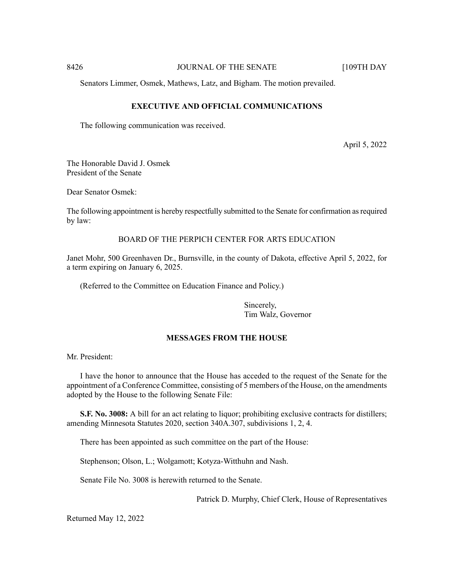8426 **JOURNAL OF THE SENATE** [109TH DAY

Senators Limmer, Osmek, Mathews, Latz, and Bigham. The motion prevailed.

# **EXECUTIVE AND OFFICIAL COMMUNICATIONS**

The following communication was received.

April 5, 2022

The Honorable David J. Osmek President of the Senate

Dear Senator Osmek:

The following appointment is hereby respectfully submitted to the Senate for confirmation asrequired by law:

BOARD OF THE PERPICH CENTER FOR ARTS EDUCATION

Janet Mohr, 500 Greenhaven Dr., Burnsville, in the county of Dakota, effective April 5, 2022, for a term expiring on January 6, 2025.

(Referred to the Committee on Education Finance and Policy.)

Sincerely, Tim Walz, Governor

# **MESSAGES FROM THE HOUSE**

Mr. President:

I have the honor to announce that the House has acceded to the request of the Senate for the appointment of a Conference Committee, consisting of 5 members of the House, on the amendments adopted by the House to the following Senate File:

**S.F. No. 3008:** A bill for an act relating to liquor; prohibiting exclusive contracts for distillers; amending Minnesota Statutes 2020, section 340A.307, subdivisions 1, 2, 4.

There has been appointed as such committee on the part of the House:

Stephenson; Olson, L.; Wolgamott; Kotyza-Witthuhn and Nash.

Senate File No. 3008 is herewith returned to the Senate.

Patrick D. Murphy, Chief Clerk, House of Representatives

Returned May 12, 2022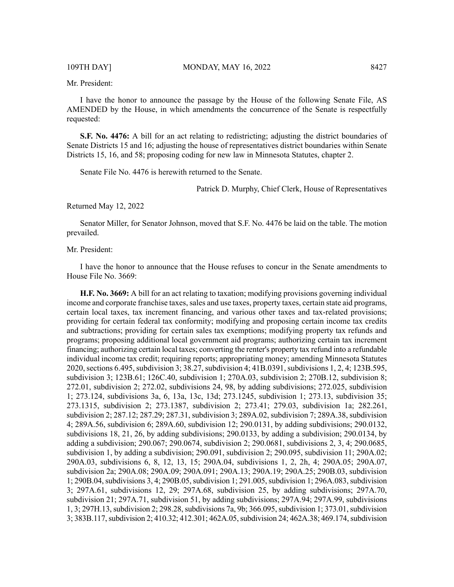Mr. President:

I have the honor to announce the passage by the House of the following Senate File, AS AMENDED by the House, in which amendments the concurrence of the Senate is respectfully requested:

**S.F. No. 4476:** A bill for an act relating to redistricting; adjusting the district boundaries of Senate Districts 15 and 16; adjusting the house of representatives district boundaries within Senate Districts 15, 16, and 58; proposing coding for new law in Minnesota Statutes, chapter 2.

Senate File No. 4476 is herewith returned to the Senate.

Patrick D. Murphy, Chief Clerk, House of Representatives

Returned May 12, 2022

Senator Miller, for Senator Johnson, moved that S.F. No. 4476 be laid on the table. The motion prevailed.

Mr. President:

I have the honor to announce that the House refuses to concur in the Senate amendments to House File No. 3669:

**H.F. No. 3669:** A bill for an act relating to taxation; modifying provisions governing individual income and corporate franchise taxes, sales and use taxes, property taxes, certain state aid programs, certain local taxes, tax increment financing, and various other taxes and tax-related provisions; providing for certain federal tax conformity; modifying and proposing certain income tax credits and subtractions; providing for certain sales tax exemptions; modifying property tax refunds and programs; proposing additional local government aid programs; authorizing certain tax increment financing; authorizing certain local taxes; converting the renter's property tax refund into a refundable individual income tax credit; requiring reports; appropriating money; amending Minnesota Statutes 2020, sections 6.495, subdivision 3; 38.27, subdivision 4; 41B.0391, subdivisions 1, 2, 4; 123B.595, subdivision 3; 123B.61; 126C.40, subdivision 1; 270A.03, subdivision 2; 270B.12, subdivision 8; 272.01, subdivision 2; 272.02, subdivisions 24, 98, by adding subdivisions; 272.025, subdivision 1; 273.124, subdivisions 3a, 6, 13a, 13c, 13d; 273.1245, subdivision 1; 273.13, subdivision 35; 273.1315, subdivision 2; 273.1387, subdivision 2; 273.41; 279.03, subdivision 1a; 282.261, subdivision 2; 287.12; 287.29; 287.31, subdivision 3; 289A.02, subdivision 7; 289A.38, subdivision 4; 289A.56, subdivision 6; 289A.60, subdivision 12; 290.0131, by adding subdivisions; 290.0132, subdivisions 18, 21, 26, by adding subdivisions; 290.0133, by adding a subdivision; 290.0134, by adding a subdivision; 290.067; 290.0674, subdivision 2; 290.0681, subdivisions 2, 3, 4; 290.0685, subdivision 1, by adding a subdivision; 290.091, subdivision 2; 290.095, subdivision 11; 290A.02; 290A.03, subdivisions 6, 8, 12, 13, 15; 290A.04, subdivisions 1, 2, 2h, 4; 290A.05; 290A.07, subdivision 2a; 290A.08; 290A.09; 290A.091; 290A.13; 290A.19; 290A.25; 290B.03, subdivision 1; 290B.04, subdivisions 3, 4; 290B.05, subdivision 1; 291.005, subdivision 1; 296A.083, subdivision 3; 297A.61, subdivisions 12, 29; 297A.68, subdivision 25, by adding subdivisions; 297A.70, subdivision 21; 297A.71, subdivision 51, by adding subdivisions; 297A.94; 297A.99, subdivisions 1, 3; 297H.13, subdivision 2; 298.28, subdivisions 7a, 9b; 366.095, subdivision 1; 373.01, subdivision 3; 383B.117, subdivision 2; 410.32; 412.301; 462A.05, subdivision 24; 462A.38; 469.174, subdivision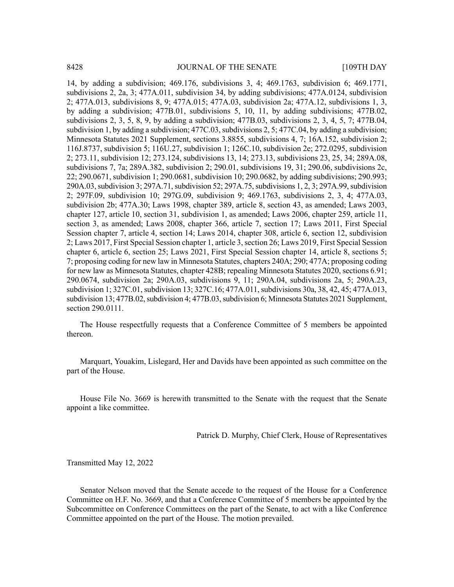14, by adding a subdivision; 469.176, subdivisions 3, 4; 469.1763, subdivision 6; 469.1771, subdivisions 2, 2a, 3; 477A.011, subdivision 34, by adding subdivisions; 477A.0124, subdivision 2; 477A.013, subdivisions 8, 9; 477A.015; 477A.03, subdivision 2a; 477A.12, subdivisions 1, 3, by adding a subdivision; 477B.01, subdivisions 5, 10, 11, by adding subdivisions; 477B.02, subdivisions 2, 3, 5, 8, 9, by adding a subdivision; 477B.03, subdivisions 2, 3, 4, 5, 7; 477B.04, subdivision 1, by adding a subdivision; 477C.03, subdivisions 2, 5; 477C.04, by adding a subdivision; Minnesota Statutes 2021 Supplement, sections 3.8855, subdivisions 4, 7; 16A.152, subdivision 2; 116J.8737, subdivision 5; 116U.27, subdivision 1; 126C.10, subdivision 2e; 272.0295, subdivision 2; 273.11, subdivision 12; 273.124, subdivisions 13, 14; 273.13, subdivisions 23, 25, 34; 289A.08, subdivisions 7, 7a; 289A.382, subdivision 2; 290.01, subdivisions 19, 31; 290.06, subdivisions 2c, 22; 290.0671, subdivision 1; 290.0681, subdivision 10; 290.0682, by adding subdivisions; 290.993; 290A.03, subdivision 3; 297A.71, subdivision 52; 297A.75, subdivisions 1, 2, 3; 297A.99, subdivision 2; 297F.09, subdivision 10; 297G.09, subdivision 9; 469.1763, subdivisions 2, 3, 4; 477A.03, subdivision 2b; 477A.30; Laws 1998, chapter 389, article 8, section 43, as amended; Laws 2003, chapter 127, article 10, section 31, subdivision 1, as amended; Laws 2006, chapter 259, article 11, section 3, as amended; Laws 2008, chapter 366, article 7, section 17; Laws 2011, First Special Session chapter 7, article 4, section 14; Laws 2014, chapter 308, article 6, section 12, subdivision 2; Laws 2017, First Special Session chapter 1, article 3, section 26; Laws 2019, First Special Session chapter 6, article 6, section 25; Laws 2021, First Special Session chapter 14, article 8, sections 5; 7; proposing coding for new law in Minnesota Statutes, chapters 240A; 290; 477A; proposing coding for new law as Minnesota Statutes, chapter 428B; repealing Minnesota Statutes 2020, sections 6.91; 290.0674, subdivision 2a; 290A.03, subdivisions 9, 11; 290A.04, subdivisions 2a, 5; 290A.23, subdivision 1; 327C.01, subdivision 13; 327C.16; 477A.011, subdivisions 30a, 38, 42, 45; 477A.013, subdivision 13; 477B.02, subdivision 4; 477B.03, subdivision 6; Minnesota Statutes 2021 Supplement, section 290.0111.

The House respectfully requests that a Conference Committee of 5 members be appointed thereon.

Marquart, Youakim, Lislegard, Her and Davids have been appointed as such committee on the part of the House.

House File No. 3669 is herewith transmitted to the Senate with the request that the Senate appoint a like committee.

Patrick D. Murphy, Chief Clerk, House of Representatives

Transmitted May 12, 2022

Senator Nelson moved that the Senate accede to the request of the House for a Conference Committee on H.F. No. 3669, and that a Conference Committee of 5 members be appointed by the Subcommittee on Conference Committees on the part of the Senate, to act with a like Conference Committee appointed on the part of the House. The motion prevailed.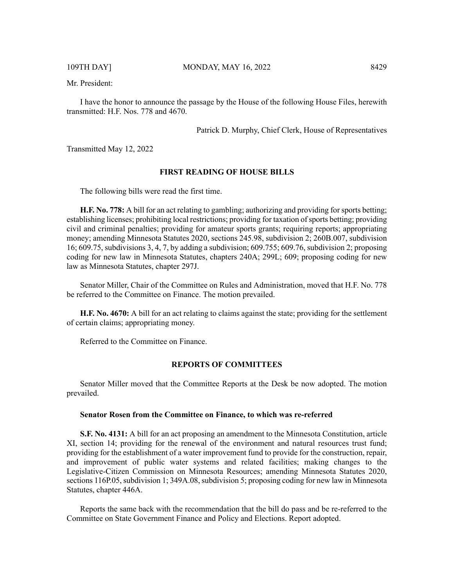Mr. President:

I have the honor to announce the passage by the House of the following House Files, herewith transmitted: H.F. Nos. 778 and 4670.

Patrick D. Murphy, Chief Clerk, House of Representatives

Transmitted May 12, 2022

#### **FIRST READING OF HOUSE BILLS**

The following bills were read the first time.

**H.F. No. 778:** A bill for an act relating to gambling; authorizing and providing forsports betting; establishing licenses; prohibiting local restrictions; providing for taxation of sports betting; providing civil and criminal penalties; providing for amateur sports grants; requiring reports; appropriating money; amending Minnesota Statutes 2020, sections 245.98, subdivision 2; 260B.007, subdivision 16; 609.75, subdivisions 3, 4, 7, by adding a subdivision; 609.755; 609.76, subdivision 2; proposing coding for new law in Minnesota Statutes, chapters 240A; 299L; 609; proposing coding for new law as Minnesota Statutes, chapter 297J.

Senator Miller, Chair of the Committee on Rules and Administration, moved that H.F. No. 778 be referred to the Committee on Finance. The motion prevailed.

**H.F. No. 4670:** A bill for an act relating to claims against the state; providing for the settlement of certain claims; appropriating money.

Referred to the Committee on Finance.

#### **REPORTS OF COMMITTEES**

Senator Miller moved that the Committee Reports at the Desk be now adopted. The motion prevailed.

#### **Senator Rosen from the Committee on Finance, to which was re-referred**

**S.F. No. 4131:** A bill for an act proposing an amendment to the Minnesota Constitution, article XI, section 14; providing for the renewal of the environment and natural resources trust fund; providing for the establishment of a water improvement fund to provide for the construction, repair, and improvement of public water systems and related facilities; making changes to the Legislative-Citizen Commission on Minnesota Resources; amending Minnesota Statutes 2020, sections 116P.05, subdivision 1; 349A.08, subdivision 5; proposing coding for new law in Minnesota Statutes, chapter 446A.

Reports the same back with the recommendation that the bill do pass and be re-referred to the Committee on State Government Finance and Policy and Elections. Report adopted.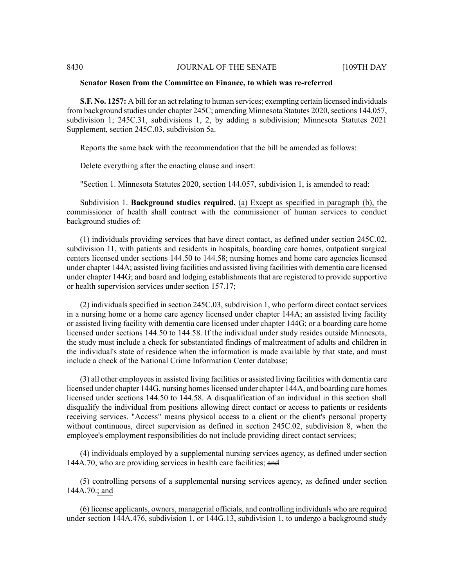#### **Senator Rosen from the Committee on Finance, to which was re-referred**

**S.F. No. 1257:** A bill for an act relating to human services; exempting certain licensed individuals from background studies under chapter 245C; amending Minnesota Statutes 2020, sections 144.057, subdivision 1; 245C.31, subdivisions 1, 2, by adding a subdivision; Minnesota Statutes 2021 Supplement, section 245C.03, subdivision 5a.

Reports the same back with the recommendation that the bill be amended as follows:

Delete everything after the enacting clause and insert:

"Section 1. Minnesota Statutes 2020, section 144.057, subdivision 1, is amended to read:

Subdivision 1. **Background studies required.** (a) Except as specified in paragraph (b), the commissioner of health shall contract with the commissioner of human services to conduct background studies of:

(1) individuals providing services that have direct contact, as defined under section 245C.02, subdivision 11, with patients and residents in hospitals, boarding care homes, outpatient surgical centers licensed under sections 144.50 to 144.58; nursing homes and home care agencies licensed under chapter 144A; assisted living facilities and assisted living facilities with dementia care licensed under chapter 144G; and board and lodging establishments that are registered to provide supportive or health supervision services under section 157.17;

(2) individuals specified in section 245C.03, subdivision 1, who perform direct contact services in a nursing home or a home care agency licensed under chapter 144A; an assisted living facility or assisted living facility with dementia care licensed under chapter 144G; or a boarding care home licensed under sections 144.50 to 144.58. If the individual under study resides outside Minnesota, the study must include a check for substantiated findings of maltreatment of adults and children in the individual's state of residence when the information is made available by that state, and must include a check of the National Crime Information Center database;

(3) all other employeesin assisted living facilities or assisted living facilities with dementia care licensed under chapter 144G, nursing homes licensed under chapter 144A, and boarding care homes licensed under sections 144.50 to 144.58. A disqualification of an individual in this section shall disqualify the individual from positions allowing direct contact or access to patients or residents receiving services. "Access" means physical access to a client or the client's personal property without continuous, direct supervision as defined in section 245C.02, subdivision 8, when the employee's employment responsibilities do not include providing direct contact services;

(4) individuals employed by a supplemental nursing services agency, as defined under section 144A.70, who are providing services in health care facilities; and

(5) controlling persons of a supplemental nursing services agency, as defined under section 144A.70.; and

(6) license applicants, owners, managerial officials, and controlling individuals who are required under section 144A.476, subdivision 1, or 144G.13, subdivision 1, to undergo a background study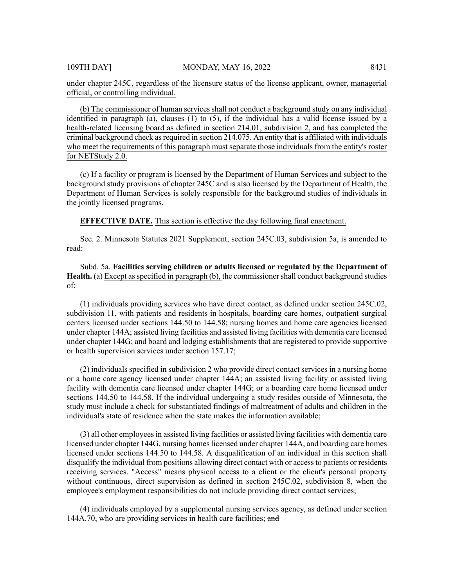under chapter 245C, regardless of the licensure status of the license applicant, owner, managerial official, or controlling individual.

(b) The commissioner of human services shall not conduct a background study on any individual identified in paragraph (a), clauses (1) to (5), if the individual has a valid license issued by a health-related licensing board as defined in section 214.01, subdivision 2, and has completed the criminal background check as required in section 214.075. An entity that is affiliated with individuals who meet the requirements of this paragraph must separate those individuals from the entity's roster for NETStudy 2.0.

(c) If a facility or program is licensed by the Department of Human Services and subject to the background study provisions of chapter 245C and is also licensed by the Department of Health, the Department of Human Services is solely responsible for the background studies of individuals in the jointly licensed programs.

**EFFECTIVE DATE.** This section is effective the day following final enactment.

Sec. 2. Minnesota Statutes 2021 Supplement, section 245C.03, subdivision 5a, is amended to read:

Subd. 5a. **Facilities serving children or adults licensed or regulated by the Department of Health.** (a) Except asspecified in paragraph (b), the commissionershall conduct background studies of:

(1) individuals providing services who have direct contact, as defined under section 245C.02, subdivision 11, with patients and residents in hospitals, boarding care homes, outpatient surgical centers licensed under sections 144.50 to 144.58; nursing homes and home care agencies licensed under chapter 144A; assisted living facilities and assisted living facilities with dementia care licensed under chapter 144G; and board and lodging establishments that are registered to provide supportive or health supervision services under section 157.17;

(2) individuals specified in subdivision 2 who provide direct contact services in a nursing home or a home care agency licensed under chapter 144A; an assisted living facility or assisted living facility with dementia care licensed under chapter 144G; or a boarding care home licensed under sections 144.50 to 144.58. If the individual undergoing a study resides outside of Minnesota, the study must include a check for substantiated findings of maltreatment of adults and children in the individual's state of residence when the state makes the information available;

(3) all other employeesin assisted living facilities or assisted living facilities with dementia care licensed under chapter 144G, nursing homes licensed under chapter 144A, and boarding care homes licensed under sections 144.50 to 144.58. A disqualification of an individual in this section shall disqualify the individual from positions allowing direct contact with or accessto patients or residents receiving services. "Access" means physical access to a client or the client's personal property without continuous, direct supervision as defined in section 245C.02, subdivision 8, when the employee's employment responsibilities do not include providing direct contact services;

(4) individuals employed by a supplemental nursing services agency, as defined under section 144A.70, who are providing services in health care facilities; and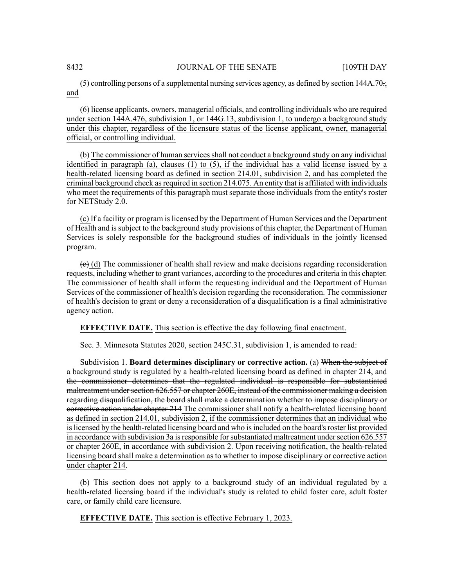#### 8432 JOURNAL OF THE SENATE [109TH DAY

(5) controlling persons of a supplemental nursing services agency, as defined by section 144A.70.; and

(6) license applicants, owners, managerial officials, and controlling individuals who are required under section 144A.476, subdivision 1, or 144G.13, subdivision 1, to undergo a background study under this chapter, regardless of the licensure status of the license applicant, owner, managerial official, or controlling individual.

(b) The commissioner of human services shall not conduct a background study on any individual identified in paragraph (a), clauses (1) to (5), if the individual has a valid license issued by a health-related licensing board as defined in section 214.01, subdivision 2, and has completed the criminal background check as required in section 214.075. An entity that is affiliated with individuals who meet the requirements of this paragraph must separate those individuals from the entity's roster for NETStudy 2.0.

(c) If a facility or program islicensed by the Department of Human Services and the Department of Health and is subject to the background study provisions of this chapter, the Department of Human Services is solely responsible for the background studies of individuals in the jointly licensed program.

 $\left(\frac{e}{c}\right)$  (d) The commissioner of health shall review and make decisions regarding reconsideration requests, including whether to grant variances, according to the procedures and criteria in this chapter. The commissioner of health shall inform the requesting individual and the Department of Human Services of the commissioner of health's decision regarding the reconsideration. The commissioner of health's decision to grant or deny a reconsideration of a disqualification is a final administrative agency action.

**EFFECTIVE DATE.** This section is effective the day following final enactment.

Sec. 3. Minnesota Statutes 2020, section 245C.31, subdivision 1, is amended to read:

Subdivision 1. **Board determines disciplinary or corrective action.** (a) When the subject of a background study is regulated by a health-related licensing board as defined in chapter 214, and the commissioner determines that the regulated individual is responsible for substantiated maltreatment undersection 626.557 or chapter 260E, instead of the commissioner making a decision regarding disqualification, the board shall make a determination whether to impose disciplinary or eorrective action under chapter 214 The commissioner shall notify a health-related licensing board as defined in section 214.01, subdivision 2, if the commissioner determines that an individual who is licensed by the health-related licensing board and who is included on the board's roster list provided in accordance with subdivision 3a is responsible for substantiated maltreatment under section  $626.557$ or chapter 260E, in accordance with subdivision 2. Upon receiving notification, the health-related licensing board shall make a determination as to whether to impose disciplinary or corrective action under chapter 214.

(b) This section does not apply to a background study of an individual regulated by a health-related licensing board if the individual's study is related to child foster care, adult foster care, or family child care licensure.

**EFFECTIVE DATE.** This section is effective February 1, 2023.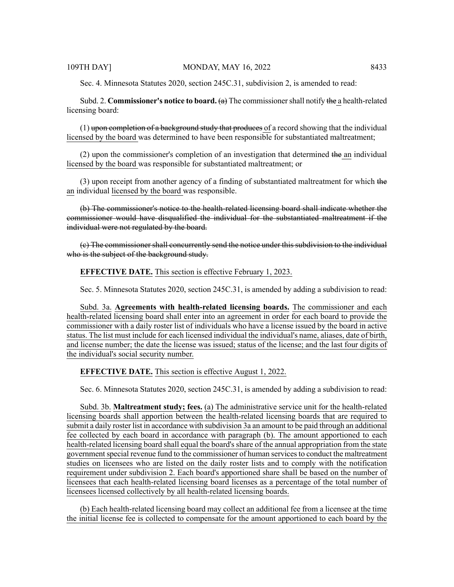Sec. 4. Minnesota Statutes 2020, section 245C.31, subdivision 2, is amended to read:

Subd. 2. **Commissioner's notice to board.** (a) The commissionershall notify the a health-related licensing board:

 $(1)$  upon completion of a background study that produces of a record showing that the individual licensed by the board was determined to have been responsible for substantiated maltreatment;

 $(2)$  upon the commissioner's completion of an investigation that determined the an individual licensed by the board was responsible for substantiated maltreatment; or

 $(3)$  upon receipt from another agency of a finding of substantiated maltreatment for which the an individual licensed by the board was responsible.

(b) The commissioner's notice to the health-related licensing board shall indicate whether the commissioner would have disqualified the individual for the substantiated maltreatment if the individual were not regulated by the board.

(c) The commissioner shall concurrently send the notice under this subdivision to the individual who is the subject of the background study.

#### **EFFECTIVE DATE.** This section is effective February 1, 2023.

Sec. 5. Minnesota Statutes 2020, section 245C.31, is amended by adding a subdivision to read:

Subd. 3a. **Agreements with health-related licensing boards.** The commissioner and each health-related licensing board shall enter into an agreement in order for each board to provide the commissioner with a daily roster list of individuals who have a license issued by the board in active status. The list must include for each licensed individual the individual's name, aliases, date of birth, and license number; the date the license was issued; status of the license; and the last four digits of the individual's social security number.

**EFFECTIVE DATE.** This section is effective August 1, 2022.

Sec. 6. Minnesota Statutes 2020, section 245C.31, is amended by adding a subdivision to read:

Subd. 3b. **Maltreatment study; fees.** (a) The administrative service unit for the health-related licensing boards shall apportion between the health-related licensing boards that are required to submit a daily roster list in accordance with subdivision 3a an amount to be paid through an additional fee collected by each board in accordance with paragraph (b). The amount apportioned to each health-related licensing board shall equal the board's share of the annual appropriation from the state government special revenue fund to the commissioner of human services to conduct the maltreatment studies on licensees who are listed on the daily roster lists and to comply with the notification requirement under subdivision 2. Each board's apportioned share shall be based on the number of licensees that each health-related licensing board licenses as a percentage of the total number of licensees licensed collectively by all health-related licensing boards.

(b) Each health-related licensing board may collect an additional fee from a licensee at the time the initial license fee is collected to compensate for the amount apportioned to each board by the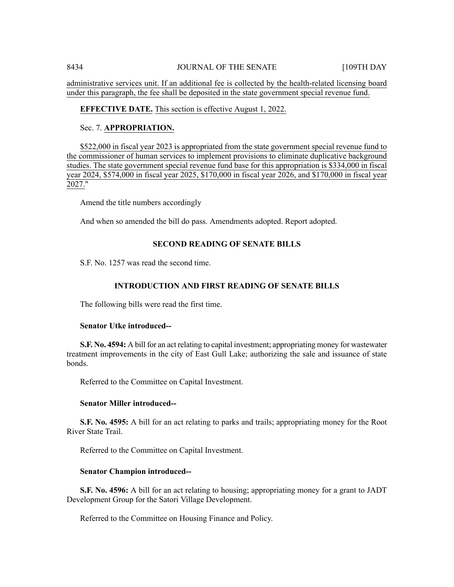administrative services unit. If an additional fee is collected by the health-related licensing board under this paragraph, the fee shall be deposited in the state government special revenue fund.

# **EFFECTIVE DATE.** This section is effective August 1, 2022.

# Sec. 7. **APPROPRIATION.**

\$522,000 in fiscal year 2023 is appropriated from the state government special revenue fund to the commissioner of human services to implement provisions to eliminate duplicative background studies. The state government special revenue fund base for this appropriation is \$334,000 in fiscal year 2024, \$574,000 in fiscal year 2025, \$170,000 in fiscal year 2026, and \$170,000 in fiscal year 2027."

Amend the title numbers accordingly

And when so amended the bill do pass. Amendments adopted. Report adopted.

# **SECOND READING OF SENATE BILLS**

S.F. No. 1257 was read the second time.

# **INTRODUCTION AND FIRST READING OF SENATE BILLS**

The following bills were read the first time.

# **Senator Utke introduced--**

**S.F. No. 4594:** A bill for an act relating to capital investment; appropriating money for wastewater treatment improvements in the city of East Gull Lake; authorizing the sale and issuance of state bonds.

Referred to the Committee on Capital Investment.

# **Senator Miller introduced--**

**S.F. No. 4595:** A bill for an act relating to parks and trails; appropriating money for the Root River State Trail.

Referred to the Committee on Capital Investment.

# **Senator Champion introduced--**

**S.F. No. 4596:** A bill for an act relating to housing; appropriating money for a grant to JADT Development Group for the Satori Village Development.

Referred to the Committee on Housing Finance and Policy.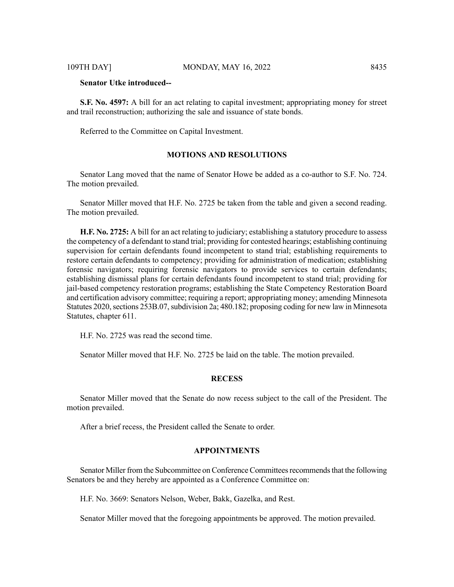# **Senator Utke introduced--**

**S.F. No. 4597:** A bill for an act relating to capital investment; appropriating money for street and trail reconstruction; authorizing the sale and issuance of state bonds.

Referred to the Committee on Capital Investment.

# **MOTIONS AND RESOLUTIONS**

Senator Lang moved that the name of Senator Howe be added as a co-author to S.F. No. 724. The motion prevailed.

Senator Miller moved that H.F. No. 2725 be taken from the table and given a second reading. The motion prevailed.

**H.F. No. 2725:** A bill for an act relating to judiciary; establishing a statutory procedure to assess the competency of a defendant to stand trial; providing for contested hearings; establishing continuing supervision for certain defendants found incompetent to stand trial; establishing requirements to restore certain defendants to competency; providing for administration of medication; establishing forensic navigators; requiring forensic navigators to provide services to certain defendants; establishing dismissal plans for certain defendants found incompetent to stand trial; providing for jail-based competency restoration programs; establishing the State Competency Restoration Board and certification advisory committee; requiring a report; appropriating money; amending Minnesota Statutes 2020, sections 253B.07, subdivision 2a; 480.182; proposing coding for new law in Minnesota Statutes, chapter 611.

H.F. No. 2725 was read the second time.

Senator Miller moved that H.F. No. 2725 be laid on the table. The motion prevailed.

# **RECESS**

Senator Miller moved that the Senate do now recess subject to the call of the President. The motion prevailed.

After a brief recess, the President called the Senate to order.

#### **APPOINTMENTS**

Senator Miller from the Subcommittee on Conference Committees recommends that the following Senators be and they hereby are appointed as a Conference Committee on:

H.F. No. 3669: Senators Nelson, Weber, Bakk, Gazelka, and Rest.

Senator Miller moved that the foregoing appointments be approved. The motion prevailed.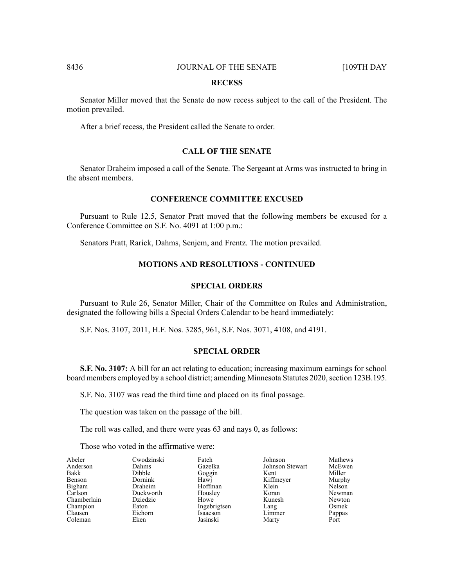#### **RECESS**

Senator Miller moved that the Senate do now recess subject to the call of the President. The motion prevailed.

After a brief recess, the President called the Senate to order.

## **CALL OF THE SENATE**

Senator Draheim imposed a call of the Senate. The Sergeant at Arms was instructed to bring in the absent members.

#### **CONFERENCE COMMITTEE EXCUSED**

Pursuant to Rule 12.5, Senator Pratt moved that the following members be excused for a Conference Committee on S.F. No. 4091 at 1:00 p.m.:

Senators Pratt, Rarick, Dahms, Senjem, and Frentz. The motion prevailed.

## **MOTIONS AND RESOLUTIONS - CONTINUED**

#### **SPECIAL ORDERS**

Pursuant to Rule 26, Senator Miller, Chair of the Committee on Rules and Administration, designated the following bills a Special Orders Calendar to be heard immediately:

S.F. Nos. 3107, 2011, H.F. Nos. 3285, 961, S.F. Nos. 3071, 4108, and 4191.

#### **SPECIAL ORDER**

**S.F. No. 3107:** A bill for an act relating to education; increasing maximum earnings for school board members employed by a school district; amending Minnesota Statutes 2020, section 123B.195.

S.F. No. 3107 was read the third time and placed on its final passage.

The question was taken on the passage of the bill.

The roll was called, and there were yeas 63 and nays 0, as follows:

Those who voted in the affirmative were:

| Abeler        | Cwodzinski |
|---------------|------------|
| Anderson      | Dahms      |
| Bakk          | Dibble     |
| <b>Benson</b> | Dornink    |
| Bigham        | Draheim    |
| Carlson       | Duckworth  |
| Chamberlain   | Dziedzic   |
| Champion      | Eaton      |
| Clausen       | Eichorn    |
| Coleman       | Eken       |
|               |            |

Gazelka Goggin Hawj Hoffman Housley Howe Ingebrigtsen Isaacson Jasinski

Fateh

Johnson Johnson Stewart Kent Kiffmeyer Klein Koran Kunesh Lang Limmer Marty

Mathews McEwen Miller Murphy Nelson Newman Newton Osmek Pappas Port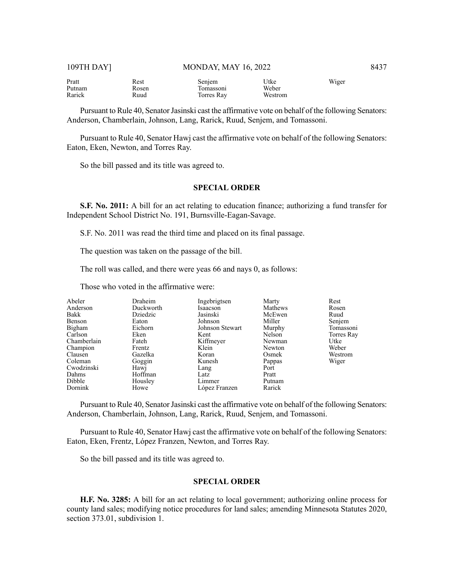Pratt Putnam Rarick

Rest Rosen Ruud

Senjem Tomassoni Torres Ray Utke Weber Westrom Wiger

Pursuant to Rule 40, Senator Jasinski cast the affirmative vote on behalf of the following Senators: Anderson, Chamberlain, Johnson, Lang, Rarick, Ruud, Senjem, and Tomassoni.

Pursuant to Rule 40, Senator Hawj cast the affirmative vote on behalf of the following Senators: Eaton, Eken, Newton, and Torres Ray.

So the bill passed and its title was agreed to.

## **SPECIAL ORDER**

**S.F. No. 2011:** A bill for an act relating to education finance; authorizing a fund transfer for Independent School District No. 191, Burnsville-Eagan-Savage.

S.F. No. 2011 was read the third time and placed on its final passage.

The question was taken on the passage of the bill.

The roll was called, and there were yeas 66 and nays 0, as follows:

Those who voted in the affirmative were:

| Abeler<br>Anderson<br>Bakk<br>Benson<br>Bigham | Draheim<br>Duckworth<br>Dziedzic<br>Eaton<br>Eichorn | Ingebrigtsen<br>Isaacson<br>Jasinski<br>Johnson<br>Johnson Stewart | Marty<br>Mathews<br>McEwen<br>Miller<br>Murphy | Rest<br>Rosen<br>Ruud<br>Senjem<br>Tomassoni |
|------------------------------------------------|------------------------------------------------------|--------------------------------------------------------------------|------------------------------------------------|----------------------------------------------|
| Carlson                                        | Eken<br>Fateh                                        | Kent                                                               | Nelson                                         | Torres Ray<br>Utke                           |
| Chamberlain<br>Champion                        | Frentz                                               | Kiffmeyer<br>Klein                                                 | Newman<br>Newton                               | Weber                                        |
| Clausen                                        | Gazelka                                              | Koran                                                              | Osmek                                          | Westrom                                      |
| Coleman                                        | Goggin                                               | Kunesh                                                             | Pappas                                         | Wiger                                        |
| Cwodzinski                                     | Hawj                                                 | Lang                                                               | Port                                           |                                              |
| Dahms                                          | Hoffman                                              | Latz                                                               | Pratt                                          |                                              |
| Dibble                                         | Housley                                              | Limmer                                                             | Putnam                                         |                                              |
| Dornink                                        | Howe                                                 | López Franzen                                                      | Rarick                                         |                                              |

Pursuant to Rule 40, Senator Jasinski cast the affirmative vote on behalf of the following Senators: Anderson, Chamberlain, Johnson, Lang, Rarick, Ruud, Senjem, and Tomassoni.

Pursuant to Rule 40, Senator Hawj cast the affirmative vote on behalf of the following Senators: Eaton, Eken, Frentz, López Franzen, Newton, and Torres Ray.

So the bill passed and its title was agreed to.

#### **SPECIAL ORDER**

**H.F. No. 3285:** A bill for an act relating to local government; authorizing online process for county land sales; modifying notice procedures for land sales; amending Minnesota Statutes 2020, section 373.01, subdivision 1.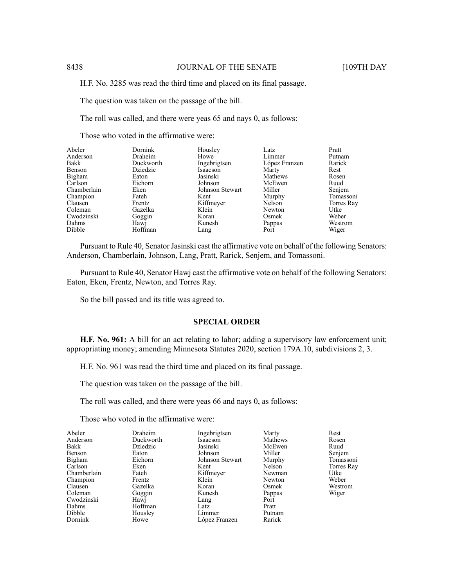H.F. No. 3285 was read the third time and placed on its final passage.

The question was taken on the passage of the bill.

The roll was called, and there were yeas 65 and nays 0, as follows:

Those who voted in the affirmative were:

| Abeler      | <b>Dornink</b> | Housley         | Latz          | Pratt      |
|-------------|----------------|-----------------|---------------|------------|
| Anderson    | Draheim        | Howe            | Limmer        | Putnam     |
| Bakk        | Duckworth      | Ingebrigtsen    | López Franzen | Rarick     |
| Benson      | Dziedzic       | Isaacson        | Marty         | Rest       |
| Bigham      | Eaton          | Jasinski        | Mathews       | Rosen      |
| Carlson     | Eichorn        | Johnson         | McEwen        | Ruud       |
| Chamberlain | Eken           | Johnson Stewart | Miller        | Senjem     |
| Champion    | Fateh          | Kent            | Murphy        | Tomassoni  |
| Clausen     | Frentz         | Kiffmeyer       | Nelson        | Torres Ray |
| Coleman     | Gazelka        | Klein           | Newton        | Utke       |
| Cwodzinski  | Goggin         | Koran           | Osmek         | Weber      |
| Dahms       | Hawj           | Kunesh          | Pappas        | Westrom    |
| Dibble      | Hoffman        | Lang            | Port          | Wiger      |

Pursuant to Rule 40, Senator Jasinski cast the affirmative vote on behalf of the following Senators: Anderson, Chamberlain, Johnson, Lang, Pratt, Rarick, Senjem, and Tomassoni.

Pursuant to Rule 40, Senator Hawj cast the affirmative vote on behalf of the following Senators: Eaton, Eken, Frentz, Newton, and Torres Ray.

So the bill passed and its title was agreed to.

# **SPECIAL ORDER**

**H.F. No. 961:** A bill for an act relating to labor; adding a supervisory law enforcement unit; appropriating money; amending Minnesota Statutes 2020, section 179A.10, subdivisions 2, 3.

H.F. No. 961 was read the third time and placed on its final passage.

The question was taken on the passage of the bill.

The roll was called, and there were yeas 66 and nays 0, as follows:

Those who voted in the affirmative were:

| Abeler      | Draheim   | Ingebrigtsen    | Marty   | Rest       |
|-------------|-----------|-----------------|---------|------------|
| Anderson    | Duckworth | Isaacson        | Mathews | Rosen      |
| Bakk        | Dziedzic  | Jasinski        | McEwen  | Ruud       |
| Benson      | Eaton     | Johnson         | Miller  | Senjem     |
| Bigham      | Eichorn   | Johnson Stewart | Murphy  | Tomassoni  |
| Carlson     | Eken      | Kent            | Nelson  | Torres Ray |
| Chamberlain | Fateh     | Kiffmeyer       | Newman  | Utke       |
| Champion    | Frentz    | Klein           | Newton  | Weber      |
| Clausen     | Gazelka   | Koran           | Osmek   | Westrom    |
| Coleman     | Goggin    | Kunesh          | Pappas  | Wiger      |
| Cwodzinski  | Hawj      | Lang            | Port    |            |
| Dahms       | Hoffman   | Latz            | Pratt   |            |
| Dibble      | Housley   | Limmer          | Putnam  |            |
| Dornink     | Howe      | López Franzen   | Rarick  |            |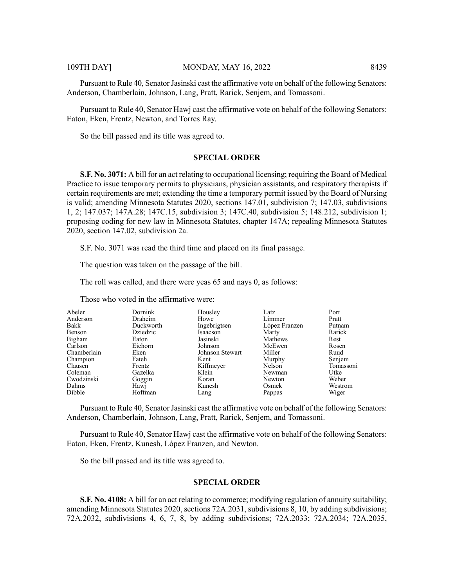Pursuant to Rule 40, Senator Jasinski cast the affirmative vote on behalf of the following Senators: Anderson, Chamberlain, Johnson, Lang, Pratt, Rarick, Senjem, and Tomassoni.

Pursuant to Rule 40, Senator Hawj cast the affirmative vote on behalf of the following Senators: Eaton, Eken, Frentz, Newton, and Torres Ray.

So the bill passed and its title was agreed to.

#### **SPECIAL ORDER**

**S.F. No. 3071:** A bill for an act relating to occupational licensing; requiring the Board of Medical Practice to issue temporary permits to physicians, physician assistants, and respiratory therapists if certain requirements are met; extending the time a temporary permit issued by the Board of Nursing is valid; amending Minnesota Statutes 2020, sections 147.01, subdivision 7; 147.03, subdivisions 1, 2; 147.037; 147A.28; 147C.15, subdivision 3; 147C.40, subdivision 5; 148.212, subdivision 1; proposing coding for new law in Minnesota Statutes, chapter 147A; repealing Minnesota Statutes 2020, section 147.02, subdivision 2a.

S.F. No. 3071 was read the third time and placed on its final passage.

The question was taken on the passage of the bill.

The roll was called, and there were yeas 65 and nays 0, as follows:

| Abeler      | Dornink   | Housley         | Latz          | Port      |
|-------------|-----------|-----------------|---------------|-----------|
| Anderson    | Draheim   | Howe            | Limmer        | Pratt     |
| Bakk        | Duckworth | Ingebrigtsen    | López Franzen | Putnam    |
| Benson      | Dziedzic  | Isaacson        | Marty         | Rarick    |
| Bigham      | Eaton     | Jasinski        | Mathews       | Rest      |
| Carlson     | Eichorn   | Johnson         | McEwen        | Rosen     |
| Chamberlain | Eken      | Johnson Stewart | Miller        | Ruud      |
| Champion    | Fateh     | Kent            | Murphy        | Senjem    |
| Clausen     | Frentz    | Kiffmeyer       | Nelson        | Tomassoni |
| Coleman     | Gazelka   | Klein           | Newman        | Utke      |
| Cwodzinski  | Goggin    | Koran           | Newton        | Weber     |
| Dahms       | Hawj      | Kunesh          | Osmek         | Westrom   |
| Dibble      | Hoffman   | Lang            | Pappas        | Wiger     |

Those who voted in the affirmative were:

Pursuant to Rule 40, Senator Jasinski cast the affirmative vote on behalf of the following Senators: Anderson, Chamberlain, Johnson, Lang, Pratt, Rarick, Senjem, and Tomassoni.

Pursuant to Rule 40, Senator Hawj cast the affirmative vote on behalf of the following Senators: Eaton, Eken, Frentz, Kunesh, López Franzen, and Newton.

So the bill passed and its title was agreed to.

#### **SPECIAL ORDER**

**S.F. No. 4108:** A bill for an act relating to commerce; modifying regulation of annuity suitability; amending Minnesota Statutes 2020, sections 72A.2031, subdivisions 8, 10, by adding subdivisions; 72A.2032, subdivisions 4, 6, 7, 8, by adding subdivisions; 72A.2033; 72A.2034; 72A.2035,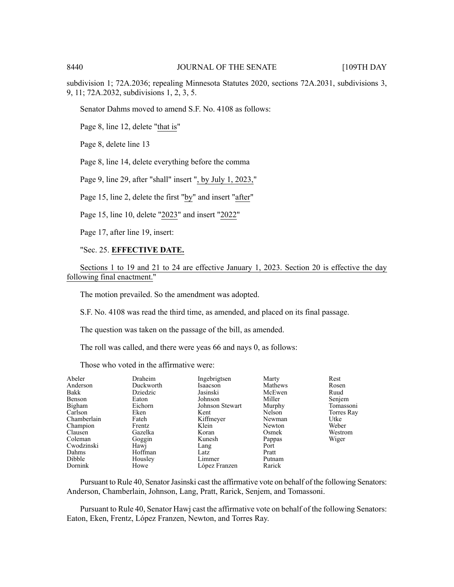subdivision 1; 72A.2036; repealing Minnesota Statutes 2020, sections 72A.2031, subdivisions 3, 9, 11; 72A.2032, subdivisions 1, 2, 3, 5.

Senator Dahms moved to amend S.F. No. 4108 as follows:

Page 8, line 12, delete "that is"

Page 8, delete line 13

Page 8, line 14, delete everything before the comma

Page 9, line 29, after "shall" insert ", by July 1, 2023,"

Page 15, line 2, delete the first "by" and insert "after"

Page 15, line 10, delete "2023" and insert "2022"

Page 17, after line 19, insert:

#### "Sec. 25. **EFFECTIVE DATE.**

Sections 1 to 19 and 21 to 24 are effective January 1, 2023. Section 20 is effective the day following final enactment."

The motion prevailed. So the amendment was adopted.

S.F. No. 4108 was read the third time, as amended, and placed on its final passage.

The question was taken on the passage of the bill, as amended.

The roll was called, and there were yeas 66 and nays 0, as follows:

Those who voted in the affirmative were:

| Abeler      | Draheim   | Ingebrigtsen    | Marty   | Rest       |
|-------------|-----------|-----------------|---------|------------|
| Anderson    | Duckworth | Isaacson        | Mathews | Rosen      |
| Bakk        | Dziedzic  | Jasinski        | McEwen  | Ruud       |
| Benson      | Eaton     | Johnson         | Miller  | Senjem     |
| Bigham      | Eichorn   | Johnson Stewart | Murphy  | Tomassoni  |
| Carlson     | Eken      | Kent            | Nelson  | Torres Ray |
| Chamberlain | Fateh     | Kiffmeyer       | Newman  | Utke       |
| Champion    | Frentz    | Klein           | Newton  | Weber      |
| Clausen     | Gazelka   | Koran           | Osmek   | Westrom    |
| Coleman     | Goggin    | Kunesh          | Pappas  | Wiger      |
| Cwodzinski  | Hawi      | Lang            | Port    |            |
| Dahms       | Hoffman   | Latz            | Pratt   |            |
| Dibble      | Housley   | Limmer          | Putnam  |            |
| Dornink     | Howe      | López Franzen   | Rarick  |            |

Pursuant to Rule 40, Senator Jasinski cast the affirmative vote on behalf of the following Senators: Anderson, Chamberlain, Johnson, Lang, Pratt, Rarick, Senjem, and Tomassoni.

Pursuant to Rule 40, Senator Hawj cast the affirmative vote on behalf of the following Senators: Eaton, Eken, Frentz, López Franzen, Newton, and Torres Ray.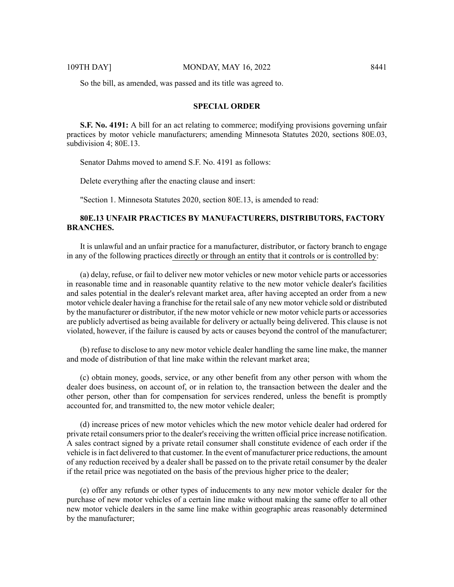So the bill, as amended, was passed and its title was agreed to.

# **SPECIAL ORDER**

**S.F. No. 4191:** A bill for an act relating to commerce; modifying provisions governing unfair practices by motor vehicle manufacturers; amending Minnesota Statutes 2020, sections 80E.03, subdivision 4; 80E.13.

Senator Dahms moved to amend S.F. No. 4191 as follows:

Delete everything after the enacting clause and insert:

"Section 1. Minnesota Statutes 2020, section 80E.13, is amended to read:

# **80E.13 UNFAIR PRACTICES BY MANUFACTURERS, DISTRIBUTORS, FACTORY BRANCHES.**

It is unlawful and an unfair practice for a manufacturer, distributor, or factory branch to engage in any of the following practices directly or through an entity that it controls or is controlled by:

(a) delay, refuse, or fail to deliver new motor vehicles or new motor vehicle parts or accessories in reasonable time and in reasonable quantity relative to the new motor vehicle dealer's facilities and sales potential in the dealer's relevant market area, after having accepted an order from a new motor vehicle dealer having a franchise for the retailsale of any new motor vehicle sold or distributed by the manufacturer or distributor, if the new motor vehicle or new motor vehicle parts or accessories are publicly advertised as being available for delivery or actually being delivered. This clause is not violated, however, if the failure is caused by acts or causes beyond the control of the manufacturer;

(b) refuse to disclose to any new motor vehicle dealer handling the same line make, the manner and mode of distribution of that line make within the relevant market area;

(c) obtain money, goods, service, or any other benefit from any other person with whom the dealer does business, on account of, or in relation to, the transaction between the dealer and the other person, other than for compensation for services rendered, unless the benefit is promptly accounted for, and transmitted to, the new motor vehicle dealer;

(d) increase prices of new motor vehicles which the new motor vehicle dealer had ordered for private retail consumers prior to the dealer's receiving the written official price increase notification. A sales contract signed by a private retail consumer shall constitute evidence of each order if the vehicle is in fact delivered to that customer. In the event of manufacturer price reductions, the amount of any reduction received by a dealer shall be passed on to the private retail consumer by the dealer if the retail price was negotiated on the basis of the previous higher price to the dealer;

(e) offer any refunds or other types of inducements to any new motor vehicle dealer for the purchase of new motor vehicles of a certain line make without making the same offer to all other new motor vehicle dealers in the same line make within geographic areas reasonably determined by the manufacturer;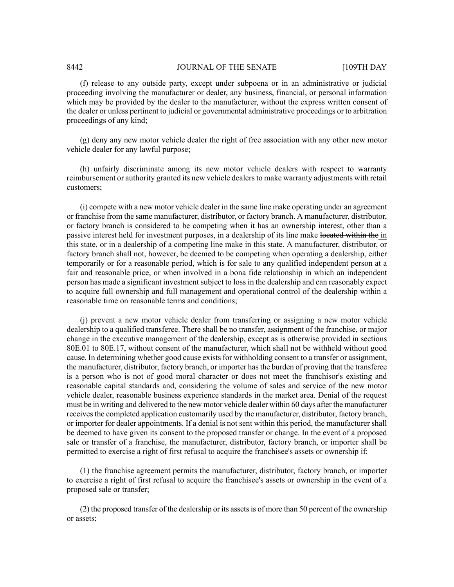(f) release to any outside party, except under subpoena or in an administrative or judicial proceeding involving the manufacturer or dealer, any business, financial, or personal information which may be provided by the dealer to the manufacturer, without the express written consent of the dealer or unless pertinent to judicial or governmental administrative proceedings or to arbitration proceedings of any kind;

(g) deny any new motor vehicle dealer the right of free association with any other new motor vehicle dealer for any lawful purpose;

(h) unfairly discriminate among its new motor vehicle dealers with respect to warranty reimbursement or authority granted its new vehicle dealersto make warranty adjustments with retail customers;

(i) compete with a new motor vehicle dealer in the same line make operating under an agreement or franchise from the same manufacturer, distributor, or factory branch. A manufacturer, distributor, or factory branch is considered to be competing when it has an ownership interest, other than a passive interest held for investment purposes, in a dealership of its line make located within the in this state, or in a dealership of a competing line make in this state. A manufacturer, distributor, or factory branch shall not, however, be deemed to be competing when operating a dealership, either temporarily or for a reasonable period, which is for sale to any qualified independent person at a fair and reasonable price, or when involved in a bona fide relationship in which an independent person has made a significant investment subject to loss in the dealership and can reasonably expect to acquire full ownership and full management and operational control of the dealership within a reasonable time on reasonable terms and conditions;

(j) prevent a new motor vehicle dealer from transferring or assigning a new motor vehicle dealership to a qualified transferee. There shall be no transfer, assignment of the franchise, or major change in the executive management of the dealership, except as is otherwise provided in sections 80E.01 to 80E.17, without consent of the manufacturer, which shall not be withheld without good cause. In determining whether good cause exists for withholding consent to a transfer or assignment, the manufacturer, distributor, factory branch, or importer hasthe burden of proving that the transferee is a person who is not of good moral character or does not meet the franchisor's existing and reasonable capital standards and, considering the volume of sales and service of the new motor vehicle dealer, reasonable business experience standards in the market area. Denial of the request must be in writing and delivered to the new motor vehicle dealer within 60 days after the manufacturer receivesthe completed application customarily used by the manufacturer, distributor, factory branch, or importer for dealer appointments. If a denial is not sent within this period, the manufacturer shall be deemed to have given its consent to the proposed transfer or change. In the event of a proposed sale or transfer of a franchise, the manufacturer, distributor, factory branch, or importer shall be permitted to exercise a right of first refusal to acquire the franchisee's assets or ownership if:

(1) the franchise agreement permits the manufacturer, distributor, factory branch, or importer to exercise a right of first refusal to acquire the franchisee's assets or ownership in the event of a proposed sale or transfer;

(2) the proposed transfer of the dealership or its assetsis of more than 50 percent of the ownership or assets;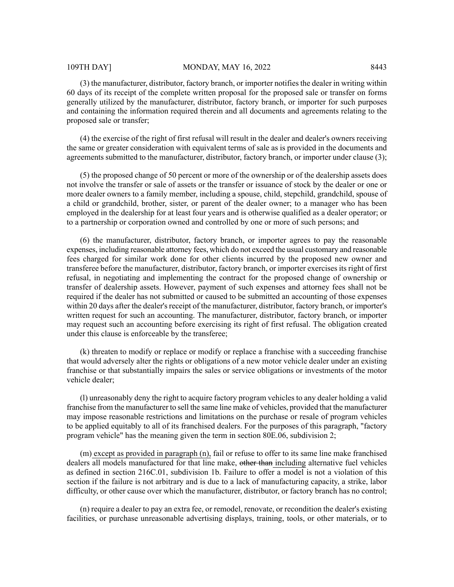(3) the manufacturer, distributor, factory branch, or importer notifies the dealer in writing within 60 days of its receipt of the complete written proposal for the proposed sale or transfer on forms generally utilized by the manufacturer, distributor, factory branch, or importer for such purposes and containing the information required therein and all documents and agreements relating to the proposed sale or transfer;

(4) the exercise of the right of first refusal will result in the dealer and dealer's owners receiving the same or greater consideration with equivalent terms of sale as is provided in the documents and agreements submitted to the manufacturer, distributor, factory branch, or importer under clause (3);

(5) the proposed change of 50 percent or more of the ownership or of the dealership assets does not involve the transfer or sale of assets or the transfer or issuance of stock by the dealer or one or more dealer owners to a family member, including a spouse, child, stepchild, grandchild, spouse of a child or grandchild, brother, sister, or parent of the dealer owner; to a manager who has been employed in the dealership for at least four years and is otherwise qualified as a dealer operator; or to a partnership or corporation owned and controlled by one or more of such persons; and

(6) the manufacturer, distributor, factory branch, or importer agrees to pay the reasonable expenses, including reasonable attorney fees, which do not exceed the usual customary and reasonable fees charged for similar work done for other clients incurred by the proposed new owner and transferee before the manufacturer, distributor, factory branch, or importer exercises its right of first refusal, in negotiating and implementing the contract for the proposed change of ownership or transfer of dealership assets. However, payment of such expenses and attorney fees shall not be required if the dealer has not submitted or caused to be submitted an accounting of those expenses within 20 days after the dealer's receipt of the manufacturer, distributor, factory branch, or importer's written request for such an accounting. The manufacturer, distributor, factory branch, or importer may request such an accounting before exercising its right of first refusal. The obligation created under this clause is enforceable by the transferee;

(k) threaten to modify or replace or modify or replace a franchise with a succeeding franchise that would adversely alter the rights or obligations of a new motor vehicle dealer under an existing franchise or that substantially impairs the sales or service obligations or investments of the motor vehicle dealer;

(l) unreasonably deny the right to acquire factory program vehicles to any dealer holding a valid franchise from the manufacturer to sell the same line make of vehicles, provided that the manufacturer may impose reasonable restrictions and limitations on the purchase or resale of program vehicles to be applied equitably to all of its franchised dealers. For the purposes of this paragraph, "factory program vehicle" has the meaning given the term in section 80E.06, subdivision 2;

(m) except as provided in paragraph (n), fail or refuse to offer to its same line make franchised dealers all models manufactured for that line make, other than including alternative fuel vehicles as defined in section 216C.01, subdivision 1b. Failure to offer a model is not a violation of this section if the failure is not arbitrary and is due to a lack of manufacturing capacity, a strike, labor difficulty, or other cause over which the manufacturer, distributor, or factory branch has no control;

(n) require a dealer to pay an extra fee, or remodel, renovate, or recondition the dealer's existing facilities, or purchase unreasonable advertising displays, training, tools, or other materials, or to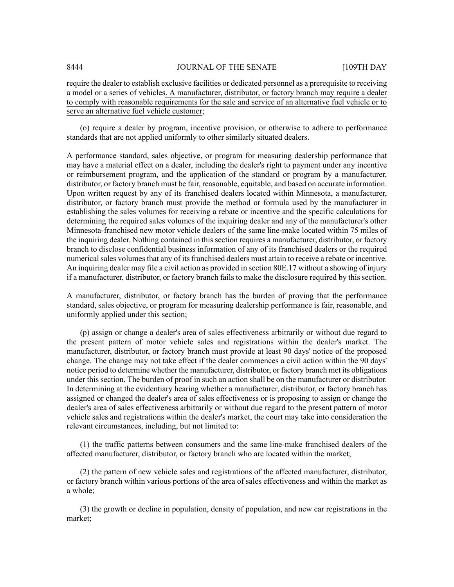require the dealer to establish exclusive facilities or dedicated personnel as a prerequisite to receiving a model or a series of vehicles. A manufacturer, distributor, or factory branch may require a dealer to comply with reasonable requirements for the sale and service of an alternative fuel vehicle or to serve an alternative fuel vehicle customer;

(o) require a dealer by program, incentive provision, or otherwise to adhere to performance standards that are not applied uniformly to other similarly situated dealers.

A performance standard, sales objective, or program for measuring dealership performance that may have a material effect on a dealer, including the dealer's right to payment under any incentive or reimbursement program, and the application of the standard or program by a manufacturer, distributor, or factory branch must be fair, reasonable, equitable, and based on accurate information. Upon written request by any of its franchised dealers located within Minnesota, a manufacturer, distributor, or factory branch must provide the method or formula used by the manufacturer in establishing the sales volumes for receiving a rebate or incentive and the specific calculations for determining the required sales volumes of the inquiring dealer and any of the manufacturer's other Minnesota-franchised new motor vehicle dealers of the same line-make located within 75 miles of the inquiring dealer. Nothing contained in this section requires a manufacturer, distributor, or factory branch to disclose confidential business information of any of its franchised dealers or the required numerical sales volumes that any of its franchised dealers must attain to receive a rebate or incentive. An inquiring dealer may file a civil action as provided in section 80E.17 without a showing of injury if a manufacturer, distributor, or factory branch fails to make the disclosure required by this section.

A manufacturer, distributor, or factory branch has the burden of proving that the performance standard, sales objective, or program for measuring dealership performance is fair, reasonable, and uniformly applied under this section;

(p) assign or change a dealer's area of sales effectiveness arbitrarily or without due regard to the present pattern of motor vehicle sales and registrations within the dealer's market. The manufacturer, distributor, or factory branch must provide at least 90 days' notice of the proposed change. The change may not take effect if the dealer commences a civil action within the 90 days' notice period to determine whether the manufacturer, distributor, or factory branch met its obligations under this section. The burden of proof in such an action shall be on the manufacturer or distributor. In determining at the evidentiary hearing whether a manufacturer, distributor, or factory branch has assigned or changed the dealer's area of sales effectiveness or is proposing to assign or change the dealer's area of sales effectiveness arbitrarily or without due regard to the present pattern of motor vehicle sales and registrations within the dealer's market, the court may take into consideration the relevant circumstances, including, but not limited to:

(1) the traffic patterns between consumers and the same line-make franchised dealers of the affected manufacturer, distributor, or factory branch who are located within the market;

(2) the pattern of new vehicle sales and registrations of the affected manufacturer, distributor, or factory branch within various portions of the area of sales effectiveness and within the market as a whole;

(3) the growth or decline in population, density of population, and new car registrations in the market;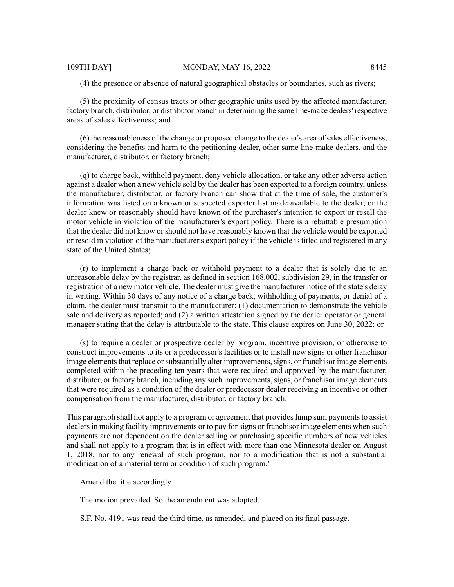(4) the presence or absence of natural geographical obstacles or boundaries, such as rivers;

(5) the proximity of census tracts or other geographic units used by the affected manufacturer, factory branch, distributor, or distributor branch in determining the same line-make dealers' respective areas of sales effectiveness; and

(6) the reasonableness of the change or proposed change to the dealer's area ofsales effectiveness, considering the benefits and harm to the petitioning dealer, other same line-make dealers, and the manufacturer, distributor, or factory branch;

(q) to charge back, withhold payment, deny vehicle allocation, or take any other adverse action against a dealer when a new vehicle sold by the dealer has been exported to a foreign country, unless the manufacturer, distributor, or factory branch can show that at the time of sale, the customer's information was listed on a known or suspected exporter list made available to the dealer, or the dealer knew or reasonably should have known of the purchaser's intention to export or resell the motor vehicle in violation of the manufacturer's export policy. There is a rebuttable presumption that the dealer did not know orshould not have reasonably known that the vehicle would be exported or resold in violation of the manufacturer's export policy if the vehicle is titled and registered in any state of the United States;

(r) to implement a charge back or withhold payment to a dealer that is solely due to an unreasonable delay by the registrar, as defined in section 168.002, subdivision 29, in the transfer or registration of a new motor vehicle. The dealer must give the manufacturer notice of the state's delay in writing. Within 30 days of any notice of a charge back, withholding of payments, or denial of a claim, the dealer must transmit to the manufacturer: (1) documentation to demonstrate the vehicle sale and delivery as reported; and (2) a written attestation signed by the dealer operator or general manager stating that the delay is attributable to the state. This clause expires on June 30, 2022; or

(s) to require a dealer or prospective dealer by program, incentive provision, or otherwise to construct improvements to its or a predecessor's facilities or to install new signs or other franchisor image elements that replace or substantially alter improvements, signs, or franchisor image elements completed within the preceding ten years that were required and approved by the manufacturer, distributor, or factory branch, including any such improvements, signs, or franchisor image elements that were required as a condition of the dealer or predecessor dealer receiving an incentive or other compensation from the manufacturer, distributor, or factory branch.

This paragraph shall not apply to a program or agreement that provides lump sum payments to assist dealers in making facility improvements or to pay for signs or franchisor image elements when such payments are not dependent on the dealer selling or purchasing specific numbers of new vehicles and shall not apply to a program that is in effect with more than one Minnesota dealer on August 1, 2018, nor to any renewal of such program, nor to a modification that is not a substantial modification of a material term or condition of such program."

Amend the title accordingly

The motion prevailed. So the amendment was adopted.

S.F. No. 4191 was read the third time, as amended, and placed on its final passage.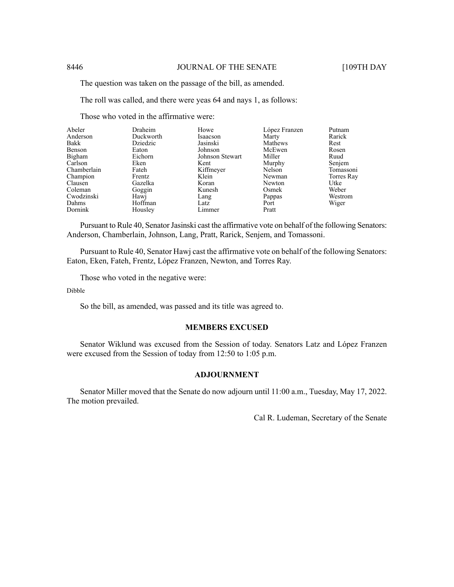#### 8446 JOURNAL OF THE SENATE [109TH DAY

The question was taken on the passage of the bill, as amended.

The roll was called, and there were yeas 64 and nays 1, as follows:

Those who voted in the affirmative were:

| Abeler      | Draheim   | Howe            | López Franzen | Putnam     |
|-------------|-----------|-----------------|---------------|------------|
| Anderson    | Duckworth | Isaacson        | Marty         | Rarick     |
| Bakk        | Dziedzic  | Jasinski        | Mathews       | Rest       |
| Benson      | Eaton     | Johnson         | McEwen        | Rosen      |
| Bigham      | Eichorn   | Johnson Stewart | Miller        | Ruud       |
| Carlson     | Eken      | Kent            | Murphy        | Senjem     |
| Chamberlain | Fateh     | Kiffmeyer       | Nelson        | Tomassoni  |
| Champion    | Frentz    | Klein           | Newman        | Torres Ray |
| Clausen     | Gazelka   | Koran           | Newton        | Utke       |
| Coleman     | Goggin    | Kunesh          | Osmek         | Weber      |
| Cwodzinski  | Hawj      | Lang            | Pappas        | Westrom    |
| Dahms       | Hoffman   | Latz            | Port          | Wiger      |
| Dornink     | Housley   | Limmer          | Pratt         |            |

Pursuant to Rule 40, Senator Jasinski cast the affirmative vote on behalf of the following Senators: Anderson, Chamberlain, Johnson, Lang, Pratt, Rarick, Senjem, and Tomassoni.

Pursuant to Rule 40, Senator Hawj cast the affirmative vote on behalf of the following Senators: Eaton, Eken, Fateh, Frentz, López Franzen, Newton, and Torres Ray.

Those who voted in the negative were:

Dibble

So the bill, as amended, was passed and its title was agreed to.

## **MEMBERS EXCUSED**

Senator Wiklund was excused from the Session of today. Senators Latz and López Franzen were excused from the Session of today from 12:50 to 1:05 p.m.

# **ADJOURNMENT**

Senator Miller moved that the Senate do now adjourn until 11:00 a.m., Tuesday, May 17, 2022. The motion prevailed.

Cal R. Ludeman, Secretary of the Senate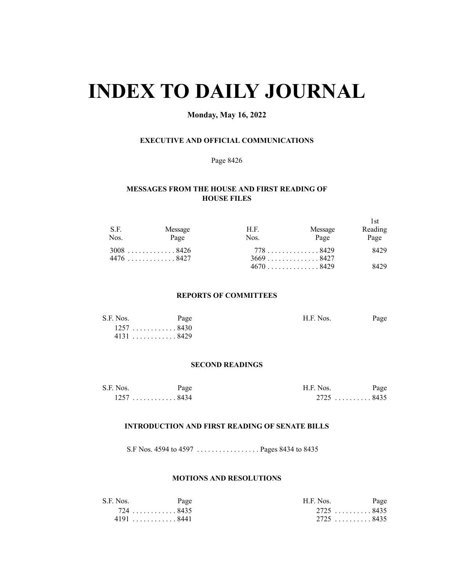# **INDEX TO DAILY JOURNAL**

# **Monday, May 16, 2022**

# **EXECUTIVE AND OFFICIAL COMMUNICATIONS**

#### Page 8426

# **MESSAGES FROM THE HOUSE AND FIRST READING OF HOUSE FILES**

| S.F.<br>Nos. | Message<br>Page | H.F.<br>Nos. | Message<br>Page            | 1st<br>Reading<br>Page |
|--------------|-----------------|--------------|----------------------------|------------------------|
|              | $3008$ 8426     |              | 778 8429                   | 8429                   |
|              | 4476 8427       |              | $3669$ 8427<br>$4670$ 8429 | 8429                   |

#### **REPORTS OF COMMITTEES**

| S.F. Nos. | Page        | H.F. Nos. | Page |
|-----------|-------------|-----------|------|
|           | $1257$ 8430 |           |      |
|           | $4131$ 8429 |           |      |

#### **SECOND READINGS**

| S.F. Nos. | Page   | H.F. Nos.   | Page |
|-----------|--------|-------------|------|
| 1257      | . 8434 | $2725$ 8435 |      |

#### **INTRODUCTION AND FIRST READING OF SENATE BILLS**

S.F Nos. 4594 to 4597 . . . . . . . . . . . . . . . . . Pages 8434 to 8435

#### **MOTIONS AND RESOLUTIONS**

| S.F. Nos. | Page     | H.F. Nos. | Page      |
|-----------|----------|-----------|-----------|
|           | 724 8435 |           | 2725 8435 |
|           | 41918441 |           | 2725 8435 |